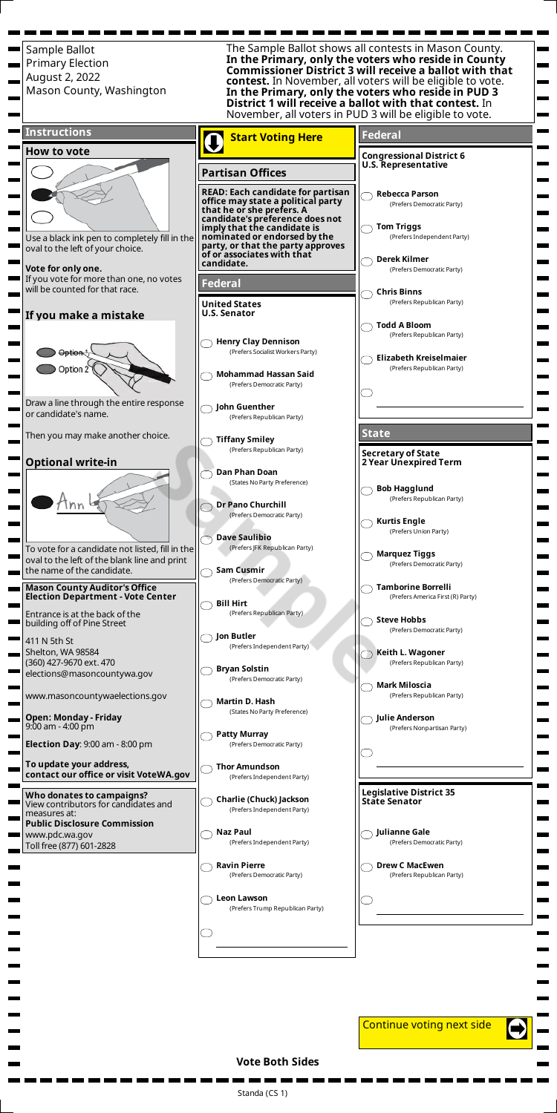Standa (CS 1)

Sample Ballot The Sample Ballot shows all contests in Mason County. **In the Primary, only the voters who reside in County** Primary Election **Commissioner District 3 will receive a ballot with that** August 2, 2022 **contest.** In November, all voters will be eligible to vote. Mason County, Washington **In the Primary, only the voters who reside in PUD 3 District 1 will receive a ballot with that contest.** In November, all voters in PUD 3 will be eligible to vote. **Instructions Federal Start Voting Here** Ō **How to vote Congressional District 6 U.S. Representative Partisan Offices READ: Each candidate for partisan Rebecca Parson office may state a political party** (Prefers Democratic Party) **that he or she prefers. A candidate's preference does not Tom Triggs imply that the candidate is** (Prefers Independent Party) **nominated or endorsed by the** Use a black ink pen to completely fill in the **party, or that the party approves** oval to the left of your choice. **of or associates with that Derek Kilmer candidate. Vote for only one.** (Prefers Democratic Party) If you vote for more than one, no votes **Federal** will be counted for that race. **Chris Binns** (Prefers Republican Party) **United States U.S. Senator If you make a mistake Todd A Bloom** (Prefers Republican Party) **Henry Clay Dennison** Option<sup>1</sup> (Prefers Socialist Workers Party) **Elizabeth Kreiselmaier** Option 2 (Prefers Republican Party) **Mohammad Hassan Said** (Prefers Democratic Party) Draw a line through the entire response **John Guenther** or candidate's name. (Prefers Republican Party) **State** Then you may make another choice. **Tiffany Smiley** ( (Prefers Republican Party) **Secretary of State Optional write-in 2 Year Unexpired Term Dan Phan Doan** (States No Party Preference) **Bob Hagglund** (Prefers Republican Party) **Dr Pano Churchill** nn (Prefers Democratic Party) **Kurtis Engle** (Prefers Union Party) **Dave Saulibio** (Prefers JFK Republican Party) To vote for a candidate not listed, fill in the **Marquez Tiggs** oval to the left of the blank line and print (Prefers Democratic Party) **Sam Cusmir** the name of the candidate. (Prefers Democratic Party) **Tamborine Borrelli Mason County Auditor's Office Election Department - Vote Center** (Prefers America First (R) Party) **Bill Hirt** Entrance is at the back of the (Prefers Republican Party) **Steve Hobbs** building off of Pine Street (Prefers Democratic Party) **Jon Butler** 411 N 5th St (Prefers Independent Party) **Keith L. Wagoner** Shelton, WA 98584 (360) 427-9670 ext. 470 (Prefers Republican Party) **Bryan Solstin** elections@masoncountywa.gov (Prefers Democratic Party) **Mark Miloscia** www.masoncountywaelections.gov (Prefers Republican Party) **Martin D. Hash** (States No Party Preference) **Julie Anderson Open: Monday - Friday** 9:00 am - 4:00 pm (Prefers Nonpartisan Party) **Patty Murray Election Day**: 9:00 am - 8:00 pm (Prefers Democratic Party) **To update your address, Thor Amundson contact our office or visit VoteWA.gov** (Prefers Independent Party) **Legislative District 35 Who donates to campaigns? Charlie (Chuck) Jackson State Senator** View contributors for candidates and







(Prefers Independent Party)